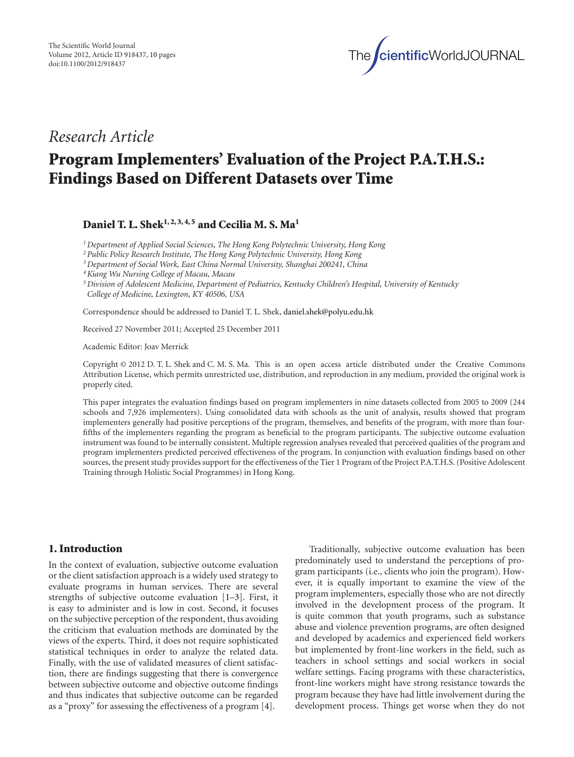

# *Research Article*

# **Program Implementers' Evaluation of the Project P.A.T.H.S.: Findings Based on Different Datasets over Time**

Daniel T. L. Shek<sup>1, 2, 3, 4, 5</sup> and Cecilia M. S. Ma<sup>1</sup>

*1Department of Applied Social Sciences, The Hong Kong Polytechnic University, Hong Kong*

*2Public Policy Research Institute, The Hong Kong Polytechnic University, Hong Kong*

*3Department of Social Work, East China Normal University, Shanghai 200241, China*

*4Kiang Wu Nursing College of Macau, Macau*

*5Division of Adolescent Medicine, Department of Pediatrics, Kentucky Children's Hospital, University of Kentucky College of Medicine, Lexington, KY 40506, USA*

Correspondence should be addressed to Daniel T. L. Shek, daniel.shek@polyu.edu.hk

Received 27 November 2011; Accepted 25 December 2011

Academic Editor: Joav Merrick

Copyright © 2012 D. T. L. Shek and C. M. S. Ma. This is an open access article distributed under the Creative Commons Attribution License, which permits unrestricted use, distribution, and reproduction in any medium, provided the original work is properly cited.

This paper integrates the evaluation findings based on program implementers in nine datasets collected from 2005 to 2009 (244 schools and 7,926 implementers). Using consolidated data with schools as the unit of analysis, results showed that program implementers generally had positive perceptions of the program, themselves, and benefits of the program, with more than fourfifths of the implementers regarding the program as beneficial to the program participants. The subjective outcome evaluation instrument was found to be internally consistent. Multiple regression analyses revealed that perceived qualities of the program and program implementers predicted perceived effectiveness of the program. In conjunction with evaluation findings based on other sources, the present study provides support for the effectiveness of the Tier 1 Program of the Project P.A.T.H.S. (Positive Adolescent Training through Holistic Social Programmes) in Hong Kong.

# **1. Introduction**

In the context of evaluation, subjective outcome evaluation or the client satisfaction approach is a widely used strategy to evaluate programs in human services. There are several strengths of subjective outcome evaluation [1–3]. First, it is easy to administer and is low in cost. Second, it focuses on the subjective perception of the respondent, thus avoiding the criticism that evaluation methods are dominated by the views of the experts. Third, it does not require sophisticated statistical techniques in order to analyze the related data. Finally, with the use of validated measures of client satisfaction, there are findings suggesting that there is convergence between subjective outcome and objective outcome findings and thus indicates that subjective outcome can be regarded as a "proxy" for assessing the effectiveness of a program [4].

Traditionally, subjective outcome evaluation has been predominately used to understand the perceptions of program participants (i.e., clients who join the program). However, it is equally important to examine the view of the program implementers, especially those who are not directly involved in the development process of the program. It is quite common that youth programs, such as substance abuse and violence prevention programs, are often designed and developed by academics and experienced field workers but implemented by front-line workers in the field, such as teachers in school settings and social workers in social welfare settings. Facing programs with these characteristics, front-line workers might have strong resistance towards the program because they have had little involvement during the development process. Things get worse when they do not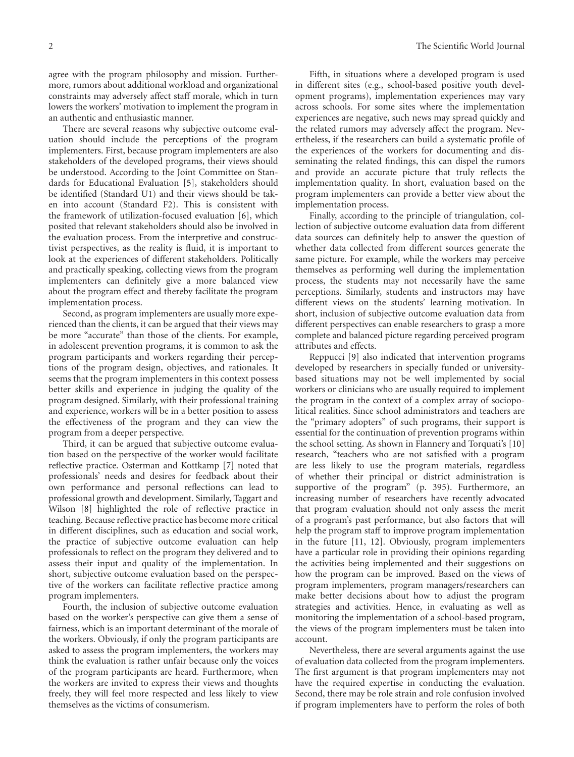agree with the program philosophy and mission. Furthermore, rumors about additional workload and organizational constraints may adversely affect staff morale, which in turn lowers the workers' motivation to implement the program in an authentic and enthusiastic manner.

There are several reasons why subjective outcome evaluation should include the perceptions of the program implementers. First, because program implementers are also stakeholders of the developed programs, their views should be understood. According to the Joint Committee on Standards for Educational Evaluation [5], stakeholders should be identified (Standard U1) and their views should be taken into account (Standard F2). This is consistent with the framework of utilization-focused evaluation [6], which posited that relevant stakeholders should also be involved in the evaluation process. From the interpretive and constructivist perspectives, as the reality is fluid, it is important to look at the experiences of different stakeholders. Politically and practically speaking, collecting views from the program implementers can definitely give a more balanced view about the program effect and thereby facilitate the program implementation process.

Second, as program implementers are usually more experienced than the clients, it can be argued that their views may be more "accurate" than those of the clients. For example, in adolescent prevention programs, it is common to ask the program participants and workers regarding their perceptions of the program design, objectives, and rationales. It seems that the program implementers in this context possess better skills and experience in judging the quality of the program designed. Similarly, with their professional training and experience, workers will be in a better position to assess the effectiveness of the program and they can view the program from a deeper perspective.

Third, it can be argued that subjective outcome evaluation based on the perspective of the worker would facilitate reflective practice. Osterman and Kottkamp [7] noted that professionals' needs and desires for feedback about their own performance and personal reflections can lead to professional growth and development. Similarly, Taggart and Wilson [8] highlighted the role of reflective practice in teaching. Because reflective practice has become more critical in different disciplines, such as education and social work, the practice of subjective outcome evaluation can help professionals to reflect on the program they delivered and to assess their input and quality of the implementation. In short, subjective outcome evaluation based on the perspective of the workers can facilitate reflective practice among program implementers.

Fourth, the inclusion of subjective outcome evaluation based on the worker's perspective can give them a sense of fairness, which is an important determinant of the morale of the workers. Obviously, if only the program participants are asked to assess the program implementers, the workers may think the evaluation is rather unfair because only the voices of the program participants are heard. Furthermore, when the workers are invited to express their views and thoughts freely, they will feel more respected and less likely to view themselves as the victims of consumerism.

Fifth, in situations where a developed program is used in different sites (e.g., school-based positive youth development programs), implementation experiences may vary across schools. For some sites where the implementation experiences are negative, such news may spread quickly and the related rumors may adversely affect the program. Nevertheless, if the researchers can build a systematic profile of the experiences of the workers for documenting and disseminating the related findings, this can dispel the rumors and provide an accurate picture that truly reflects the implementation quality. In short, evaluation based on the program implementers can provide a better view about the implementation process.

Finally, according to the principle of triangulation, collection of subjective outcome evaluation data from different data sources can definitely help to answer the question of whether data collected from different sources generate the same picture. For example, while the workers may perceive themselves as performing well during the implementation process, the students may not necessarily have the same perceptions. Similarly, students and instructors may have different views on the students' learning motivation. In short, inclusion of subjective outcome evaluation data from different perspectives can enable researchers to grasp a more complete and balanced picture regarding perceived program attributes and effects.

Reppucci [9] also indicated that intervention programs developed by researchers in specially funded or universitybased situations may not be well implemented by social workers or clinicians who are usually required to implement the program in the context of a complex array of sociopolitical realities. Since school administrators and teachers are the "primary adopters" of such programs, their support is essential for the continuation of prevention programs within the school setting. As shown in Flannery and Torquati's [10] research, "teachers who are not satisfied with a program are less likely to use the program materials, regardless of whether their principal or district administration is supportive of the program" (p. 395). Furthermore, an increasing number of researchers have recently advocated that program evaluation should not only assess the merit of a program's past performance, but also factors that will help the program staff to improve program implementation in the future [11, 12]. Obviously, program implementers have a particular role in providing their opinions regarding the activities being implemented and their suggestions on how the program can be improved. Based on the views of program implementers, program managers/researchers can make better decisions about how to adjust the program strategies and activities. Hence, in evaluating as well as monitoring the implementation of a school-based program, the views of the program implementers must be taken into account.

Nevertheless, there are several arguments against the use of evaluation data collected from the program implementers. The first argument is that program implementers may not have the required expertise in conducting the evaluation. Second, there may be role strain and role confusion involved if program implementers have to perform the roles of both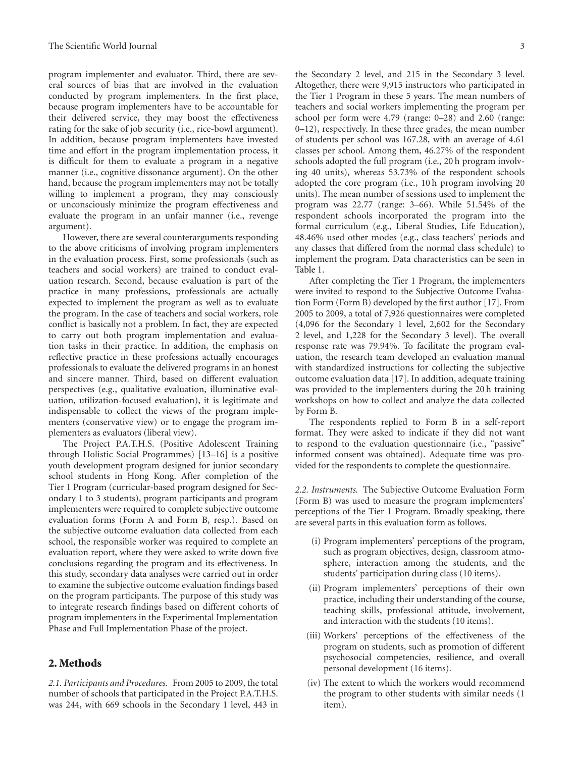program implementer and evaluator. Third, there are several sources of bias that are involved in the evaluation conducted by program implementers. In the first place, because program implementers have to be accountable for their delivered service, they may boost the effectiveness rating for the sake of job security (i.e., rice-bowl argument). In addition, because program implementers have invested time and effort in the program implementation process, it is difficult for them to evaluate a program in a negative manner (i.e., cognitive dissonance argument). On the other hand, because the program implementers may not be totally willing to implement a program, they may consciously or unconsciously minimize the program effectiveness and evaluate the program in an unfair manner (i.e., revenge argument).

However, there are several counterarguments responding to the above criticisms of involving program implementers in the evaluation process. First, some professionals (such as teachers and social workers) are trained to conduct evaluation research. Second, because evaluation is part of the practice in many professions, professionals are actually expected to implement the program as well as to evaluate the program. In the case of teachers and social workers, role conflict is basically not a problem. In fact, they are expected to carry out both program implementation and evaluation tasks in their practice. In addition, the emphasis on reflective practice in these professions actually encourages professionals to evaluate the delivered programs in an honest and sincere manner. Third, based on different evaluation perspectives (e.g., qualitative evaluation, illuminative evaluation, utilization-focused evaluation), it is legitimate and indispensable to collect the views of the program implementers (conservative view) or to engage the program implementers as evaluators (liberal view).

The Project P.A.T.H.S. (Positive Adolescent Training through Holistic Social Programmes) [13–16] is a positive youth development program designed for junior secondary school students in Hong Kong. After completion of the Tier 1 Program (curricular-based program designed for Secondary 1 to 3 students), program participants and program implementers were required to complete subjective outcome evaluation forms (Form A and Form B, resp.). Based on the subjective outcome evaluation data collected from each school, the responsible worker was required to complete an evaluation report, where they were asked to write down five conclusions regarding the program and its effectiveness. In this study, secondary data analyses were carried out in order to examine the subjective outcome evaluation findings based on the program participants. The purpose of this study was to integrate research findings based on different cohorts of program implementers in the Experimental Implementation Phase and Full Implementation Phase of the project.

#### **2. Methods**

*2.1. Participants and Procedures.* From 2005 to 2009, the total number of schools that participated in the Project P.A.T.H.S. was 244, with 669 schools in the Secondary 1 level, 443 in

the Secondary 2 level, and 215 in the Secondary 3 level. Altogether, there were 9,915 instructors who participated in the Tier 1 Program in these 5 years. The mean numbers of teachers and social workers implementing the program per school per form were 4.79 (range: 0–28) and 2.60 (range: 0–12), respectively. In these three grades, the mean number of students per school was 167.28, with an average of 4.61 classes per school. Among them, 46.27% of the respondent schools adopted the full program (i.e., 20 h program involving 40 units), whereas 53.73% of the respondent schools adopted the core program (i.e., 10 h program involving 20 units). The mean number of sessions used to implement the program was 22.77 (range: 3–66). While 51.54% of the respondent schools incorporated the program into the formal curriculum (e.g., Liberal Studies, Life Education), 48.46% used other modes (e.g., class teachers' periods and any classes that differed from the normal class schedule) to implement the program. Data characteristics can be seen in Table 1.

After completing the Tier 1 Program, the implementers were invited to respond to the Subjective Outcome Evaluation Form (Form B) developed by the first author [17]. From 2005 to 2009, a total of 7,926 questionnaires were completed (4,096 for the Secondary 1 level, 2,602 for the Secondary 2 level, and 1,228 for the Secondary 3 level). The overall response rate was 79.94%. To facilitate the program evaluation, the research team developed an evaluation manual with standardized instructions for collecting the subjective outcome evaluation data [17]. In addition, adequate training was provided to the implementers during the 20 h training workshops on how to collect and analyze the data collected by Form B.

The respondents replied to Form B in a self-report format. They were asked to indicate if they did not want to respond to the evaluation questionnaire (i.e., "passive" informed consent was obtained). Adequate time was provided for the respondents to complete the questionnaire.

*2.2. Instruments.* The Subjective Outcome Evaluation Form (Form B) was used to measure the program implementers' perceptions of the Tier 1 Program. Broadly speaking, there are several parts in this evaluation form as follows.

- (i) Program implementers' perceptions of the program, such as program objectives, design, classroom atmosphere, interaction among the students, and the students' participation during class (10 items).
- (ii) Program implementers' perceptions of their own practice, including their understanding of the course, teaching skills, professional attitude, involvement, and interaction with the students (10 items).
- (iii) Workers' perceptions of the effectiveness of the program on students, such as promotion of different psychosocial competencies, resilience, and overall personal development (16 items).
- (iv) The extent to which the workers would recommend the program to other students with similar needs (1 item).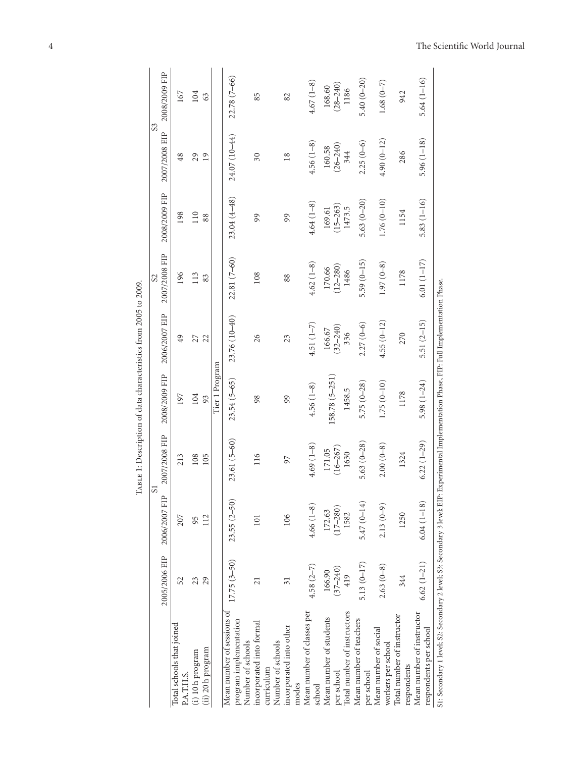|                                                                           |                 |                 | $\overline{5}$  |                 |                                                                    | S <sub>2</sub> |                 |                 | S <sub>3</sub> |
|---------------------------------------------------------------------------|-----------------|-----------------|-----------------|-----------------|--------------------------------------------------------------------|----------------|-----------------|-----------------|----------------|
|                                                                           | 2005/2006 EIP   | 2006/2007 FIP   | 2007/2008 FIP   | 2008/2009 FIP   | 2006/2007 EIP                                                      | 2007/2008 FIP  | 2008/2009 FIP   | 2007/2008 EIP   | 2008/2009 FIP  |
| Total schools that joined<br>P.A.T.H.S.                                   | 52              | 207             | 213             | 197             | 49                                                                 | 196            | 198             | 48              | 167            |
| (i) 10 h program                                                          | 23              | 95              | 108             | 104             | 27                                                                 | 113            | 110             | 29              | 104            |
| (ii) 20h program                                                          | 29              | 112             | 105             | 93              | 22                                                                 | 83             | 88              | $\overline{19}$ | 63             |
|                                                                           |                 |                 |                 | Tier 1 Program  |                                                                    |                |                 |                 |                |
| Mean number of sessions of<br>program implementation<br>Number of schools | $17.75(3 - 50)$ | $23.55(2 - 50)$ | $23.61(5 - 60)$ | $23.54(5 - 65)$ | 23.76 (10-40)                                                      | $22.81(7-60)$  | $23.04(4 - 48)$ | 24.07 (10-44)   | 22.78 (7-66)   |
| incorporated into formal<br>curriculum                                    | 21              | 101             | 116             | 98              | 26                                                                 | 108            | 99              | 30              | 85             |
| Number of schools                                                         |                 |                 |                 |                 |                                                                    |                |                 |                 |                |
| incorporated into other                                                   | $\overline{31}$ | 106             | 56              | 99              | 23                                                                 | 88             | 99              | $\frac{8}{18}$  | 82             |
| modes                                                                     |                 |                 |                 |                 |                                                                    |                |                 |                 |                |
| Mean number of classes per<br>school                                      | $4.58(2-7)$     | $4.66(1-8)$     | $4.69(1-8)$     | $4.56(1-8)$     | $4.51(1-7)$                                                        | $4.62(1-8)$    | $4.64(1-8)$     | $4.56(1-8)$     | $4.67(1-8)$    |
| Mean number of students                                                   | 166.90          | 172.63          | 171.05          | 158.78 (5-251)  | 166.67                                                             | 170.66         | 169.61          | 160.58          | 168.60         |
| per school                                                                | $(37 - 240)$    | $(17 - 280)$    | $(16 - 267)$    |                 | $(32 - 240)$                                                       | $(12 - 280)$   | $(15 - 263)$    | $(26 - 240)$    | $(28 - 240)$   |
| Total number of instructors                                               | 419             | 1582            | 1630            | 1458.5          | 336                                                                | 1486           | 1473.5          | 344             | 1186           |
| Mean number of teachers<br>per school                                     | $5.13(0-17)$    | $5.47(0 - 14)$  | $5.63(0-28)$    | $5.75(0-28)$    | $2.27(0-6)$                                                        | $5.59(0-15)$   | $5.63(0-20)$    | $2.25(0-6)$     | $5.40(0-20)$   |
| Mean number of social<br>workers per school                               | $2.63(0-8)$     | $2.13(0-9)$     | $2.00(0-8)$     | $1.75(0-10)$    | $4.55(0-12)$                                                       | $1.97(0-8)$    | $1.76(0-10)$    | $4.90(0-12)$    | $1.68(0 - 7)$  |
| Total number of instructor<br>respondents                                 | 344             | 1250            | 1324            | 1178            | 270                                                                | 1178           | 1154            | 286             | 942            |
| Mean number of instructor<br>respondents per school                       | $6.62(1-21)$    | $6.04(1 - 18)$  | $6.22(1-29)$    | $5.98(1 - 24)$  | $5.51(2-15)$                                                       | $6.01(1-17)$   | $5.83(1-16)$    | $5.96(1 - 18)$  | $5.64(1-16)$   |
| S1: Secondary 1 level; S2: Secondary 2 level; S3: Secondary 3 level; EIP: |                 |                 |                 |                 | Experimental Implementation Phase, FIP: Full Implementation Phase. |                |                 |                 |                |

acteristics from 2005 to 2009. Tarr I . Description of data cha

4 The Scientific World Journal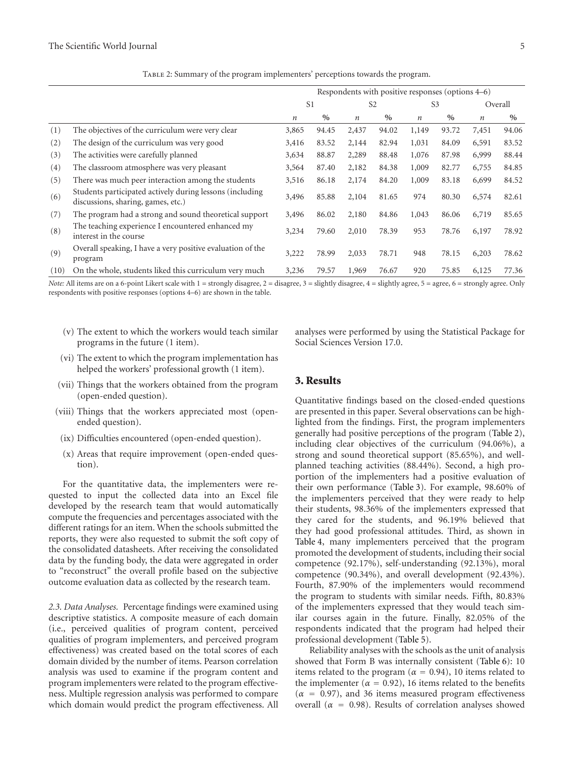|      |                                                                                                |                  |       |                  | Respondents with positive responses (options 4–6) |                  |                |                  |         |
|------|------------------------------------------------------------------------------------------------|------------------|-------|------------------|---------------------------------------------------|------------------|----------------|------------------|---------|
|      |                                                                                                | S <sub>1</sub>   |       |                  | S <sub>2</sub>                                    |                  | S <sub>3</sub> |                  | Overall |
|      |                                                                                                | $\boldsymbol{n}$ | $\%$  | $\boldsymbol{n}$ | $\%$                                              | $\boldsymbol{n}$ | $\%$           | $\boldsymbol{n}$ | $\%$    |
| (1)  | The objectives of the curriculum were very clear                                               | 3,865            | 94.45 | 2,437            | 94.02                                             | 1,149            | 93.72          | 7,451            | 94.06   |
| (2)  | The design of the curriculum was very good                                                     | 3,416            | 83.52 | 2,144            | 82.94                                             | 1,031            | 84.09          | 6,591            | 83.52   |
| (3)  | The activities were carefully planned                                                          | 3,634            | 88.87 | 2,289            | 88.48                                             | 1,076            | 87.98          | 6,999            | 88.44   |
| (4)  | The classroom atmosphere was very pleasant                                                     | 3,564            | 87.40 | 2,182            | 84.38                                             | 1,009            | 82.77          | 6,755            | 84.85   |
| (5)  | There was much peer interaction among the students                                             | 3,516            | 86.18 | 2,174            | 84.20                                             | 1,009            | 83.18          | 6,699            | 84.52   |
| (6)  | Students participated actively during lessons (including<br>discussions, sharing, games, etc.) | 3,496            | 85.88 | 2,104            | 81.65                                             | 974              | 80.30          | 6,574            | 82.61   |
| (7)  | The program had a strong and sound theoretical support                                         | 3,496            | 86.02 | 2,180            | 84.86                                             | 1,043            | 86.06          | 6,719            | 85.65   |
| (8)  | The teaching experience I encountered enhanced my<br>interest in the course                    | 3,234            | 79.60 | 2,010            | 78.39                                             | 953              | 78.76          | 6,197            | 78.92   |
| (9)  | Overall speaking, I have a very positive evaluation of the<br>program                          | 3,222            | 78.99 | 2,033            | 78.71                                             | 948              | 78.15          | 6,203            | 78.62   |
| (10) | On the whole, students liked this curriculum very much                                         | 3,236            | 79.57 | 1,969            | 76.67                                             | 920              | 75.85          | 6,125            | 77.36   |

Table 2: Summary of the program implementers' perceptions towards the program.

*Note:* All items are on a 6-point Likert scale with 1 = strongly disagree, 2 = disagree, 3 = slightly disagree, 4 = slightly agree, 5 = agree, 6 = strongly agree. Only respondents with positive responses (options 4–6) are shown in the table.

(v) The extent to which the workers would teach similar programs in the future (1 item).

analyses were performed by using the Statistical Package for Social Sciences Version 17.0.

- (vi) The extent to which the program implementation has helped the workers' professional growth (1 item).
- (vii) Things that the workers obtained from the program (open-ended question).
- (viii) Things that the workers appreciated most (openended question).
- (ix) Difficulties encountered (open-ended question).
- (x) Areas that require improvement (open-ended question).

For the quantitative data, the implementers were requested to input the collected data into an Excel file developed by the research team that would automatically compute the frequencies and percentages associated with the different ratings for an item. When the schools submitted the reports, they were also requested to submit the soft copy of the consolidated datasheets. After receiving the consolidated data by the funding body, the data were aggregated in order to "reconstruct" the overall profile based on the subjective outcome evaluation data as collected by the research team.

*2.3. Data Analyses.* Percentage findings were examined using descriptive statistics. A composite measure of each domain (i.e., perceived qualities of program content, perceived qualities of program implementers, and perceived program effectiveness) was created based on the total scores of each domain divided by the number of items. Pearson correlation analysis was used to examine if the program content and program implementers were related to the program effectiveness. Multiple regression analysis was performed to compare which domain would predict the program effectiveness. All

#### **3. Results**

Quantitative findings based on the closed-ended questions are presented in this paper. Several observations can be highlighted from the findings. First, the program implementers generally had positive perceptions of the program (Table 2), including clear objectives of the curriculum (94.06%), a strong and sound theoretical support (85.65%), and wellplanned teaching activities (88.44%). Second, a high proportion of the implementers had a positive evaluation of their own performance (Table 3). For example, 98.60% of the implementers perceived that they were ready to help their students, 98.36% of the implementers expressed that they cared for the students, and 96.19% believed that they had good professional attitudes. Third, as shown in Table 4, many implementers perceived that the program promoted the development of students, including their social competence (92.17%), self-understanding (92.13%), moral competence (90.34%), and overall development (92.43%). Fourth, 87.90% of the implementers would recommend the program to students with similar needs. Fifth, 80.83% of the implementers expressed that they would teach similar courses again in the future. Finally, 82.05% of the respondents indicated that the program had helped their professional development (Table 5).

Reliability analyses with the schools as the unit of analysis showed that Form B was internally consistent (Table 6): 10 items related to the program ( $\alpha = 0.94$ ), 10 items related to the implementer ( $\alpha = 0.92$ ), 16 items related to the benefits  $(\alpha = 0.97)$ , and 36 items measured program effectiveness overall ( $\alpha = 0.98$ ). Results of correlation analyses showed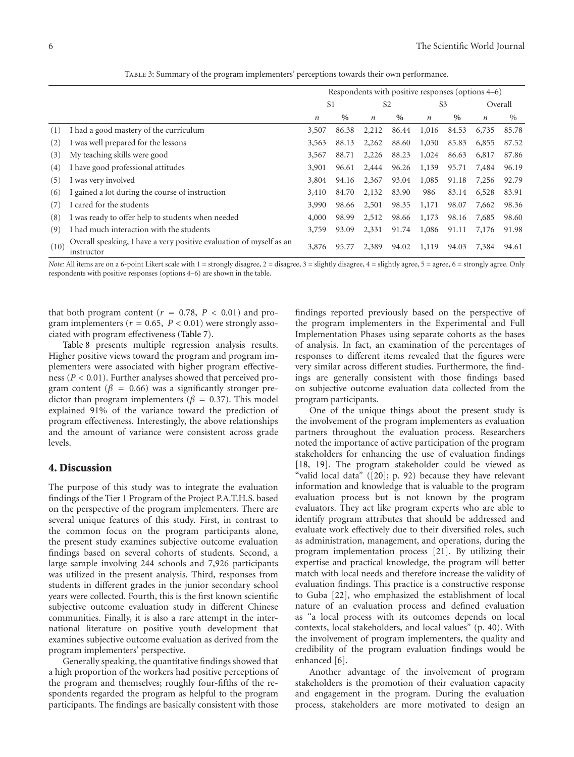|      |                                                                                   |                  |                |                  |                |                  |                | Respondents with positive responses (options 4–6) |       |
|------|-----------------------------------------------------------------------------------|------------------|----------------|------------------|----------------|------------------|----------------|---------------------------------------------------|-------|
|      |                                                                                   |                  | S <sub>1</sub> |                  | S <sub>2</sub> |                  | S <sub>3</sub> | Overall                                           |       |
|      |                                                                                   | $\boldsymbol{n}$ | $\%$           | $\boldsymbol{n}$ | $\%$           | $\boldsymbol{n}$ | $\%$           | $\boldsymbol{n}$                                  | $\%$  |
| (1)  | I had a good mastery of the curriculum                                            | 3,507            | 86.38          | 2,212            | 86.44          | 1,016            | 84.53          | 6,735                                             | 85.78 |
| (2)  | I was well prepared for the lessons                                               | 3,563            | 88.13          | 2,262            | 88.60          | 1,030            | 85.83          | 6,855                                             | 87.52 |
| (3)  | My teaching skills were good                                                      | 3,567            | 88.71          | 2,226            | 88.23          | 1,024            | 86.63          | 6,817                                             | 87.86 |
| (4)  | I have good professional attitudes                                                | 3,901            | 96.61          | 2,444            | 96.26          | 1,139            | 95.71          | 7,484                                             | 96.19 |
| (5)  | I was very involved                                                               | 3,804            | 94.16          | 2,367            | 93.04          | 1,085            | 91.18          | 7,256                                             | 92.79 |
| (6)  | I gained a lot during the course of instruction                                   | 3,410            | 84.70          | 2,132            | 83.90          | 986              | 83.14          | 6,528                                             | 83.91 |
| (7)  | I cared for the students                                                          | 3,990            | 98.66          | 2,501            | 98.35          | 1,171            | 98.07          | 7,662                                             | 98.36 |
| (8)  | I was ready to offer help to students when needed                                 | 4,000            | 98.99          | 2,512            | 98.66          | 1,173            | 98.16          | 7,685                                             | 98.60 |
| (9)  | I had much interaction with the students                                          | 3,759            | 93.09          | 2,331            | 91.74          | 1,086            | 91.11          | 7,176                                             | 91.98 |
| (10) | Overall speaking, I have a very positive evaluation of myself as an<br>instructor | 3,876            | 95.77          | 2,389            | 94.02          | 1,119            | 94.03          | 7,384                                             | 94.61 |

Table 3: Summary of the program implementers' perceptions towards their own performance.

*Note:* All items are on a 6-point Likert scale with 1 = strongly disagree, 2 = disagree, 3 = slightly disagree, 4 = slightly agree, 5 = agree, 6 = strongly agree. Only respondents with positive responses (options 4–6) are shown in the table.

that both program content  $(r = 0.78, P < 0.01)$  and program implementers ( $r = 0.65$ ,  $P < 0.01$ ) were strongly associated with program effectiveness (Table 7).

Table 8 presents multiple regression analysis results. Higher positive views toward the program and program implementers were associated with higher program effectiveness (*P <* 0*.*01). Further analyses showed that perceived program content ( $\beta = 0.66$ ) was a significantly stronger predictor than program implementers ( $\beta = 0.37$ ). This model explained 91% of the variance toward the prediction of program effectiveness. Interestingly, the above relationships and the amount of variance were consistent across grade levels.

## **4. Discussion**

The purpose of this study was to integrate the evaluation findings of the Tier 1 Program of the Project P.A.T.H.S. based on the perspective of the program implementers. There are several unique features of this study. First, in contrast to the common focus on the program participants alone, the present study examines subjective outcome evaluation findings based on several cohorts of students. Second, a large sample involving 244 schools and 7,926 participants was utilized in the present analysis. Third, responses from students in different grades in the junior secondary school years were collected. Fourth, this is the first known scientific subjective outcome evaluation study in different Chinese communities. Finally, it is also a rare attempt in the international literature on positive youth development that examines subjective outcome evaluation as derived from the program implementers' perspective.

Generally speaking, the quantitative findings showed that a high proportion of the workers had positive perceptions of the program and themselves; roughly four-fifths of the respondents regarded the program as helpful to the program participants. The findings are basically consistent with those

findings reported previously based on the perspective of the program implementers in the Experimental and Full Implementation Phases using separate cohorts as the bases of analysis. In fact, an examination of the percentages of responses to different items revealed that the figures were very similar across different studies. Furthermore, the findings are generally consistent with those findings based on subjective outcome evaluation data collected from the program participants.

One of the unique things about the present study is the involvement of the program implementers as evaluation partners throughout the evaluation process. Researchers noted the importance of active participation of the program stakeholders for enhancing the use of evaluation findings [18, 19]. The program stakeholder could be viewed as "valid local data" ([20]; p. 92) because they have relevant information and knowledge that is valuable to the program evaluation process but is not known by the program evaluators. They act like program experts who are able to identify program attributes that should be addressed and evaluate work effectively due to their diversified roles, such as administration, management, and operations, during the program implementation process [21]. By utilizing their expertise and practical knowledge, the program will better match with local needs and therefore increase the validity of evaluation findings. This practice is a constructive response to Guba [22], who emphasized the establishment of local nature of an evaluation process and defined evaluation as "a local process with its outcomes depends on local contexts, local stakeholders, and local values" (p. 40). With the involvement of program implementers, the quality and credibility of the program evaluation findings would be enhanced [6].

Another advantage of the involvement of program stakeholders is the promotion of their evaluation capacity and engagement in the program. During the evaluation process, stakeholders are more motivated to design an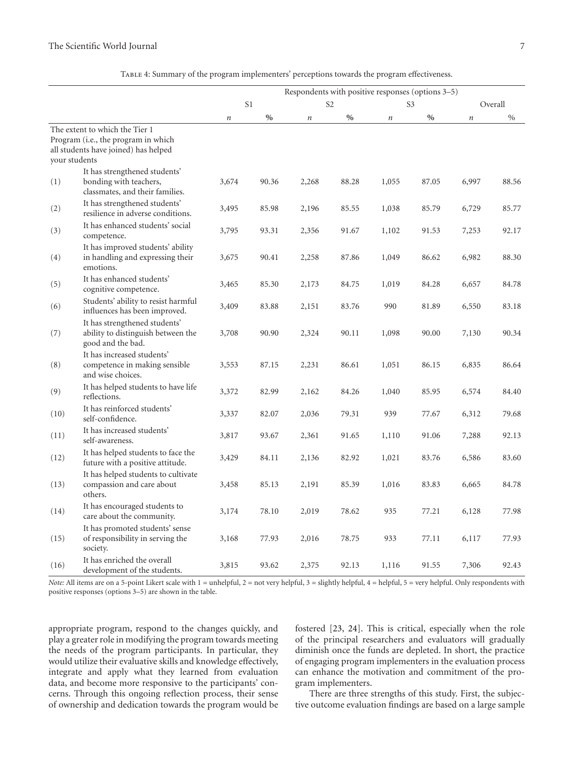|               |                                                                                                               |                  |       |         | Respondents with positive responses (options 3-5) |         |                |                  |               |
|---------------|---------------------------------------------------------------------------------------------------------------|------------------|-------|---------|---------------------------------------------------|---------|----------------|------------------|---------------|
|               |                                                                                                               |                  | S1    |         | S <sub>2</sub>                                    |         | S <sub>3</sub> |                  | Overall       |
|               |                                                                                                               | $\boldsymbol{n}$ | $\%$  | $\it n$ | $\%$                                              | $\it n$ | $\%$           | $\boldsymbol{n}$ | $\frac{0}{0}$ |
| your students | The extent to which the Tier 1<br>Program (i.e., the program in which<br>all students have joined) has helped |                  |       |         |                                                   |         |                |                  |               |
| (1)           | It has strengthened students'<br>bonding with teachers,<br>classmates, and their families.                    | 3,674            | 90.36 | 2,268   | 88.28                                             | 1,055   | 87.05          | 6,997            | 88.56         |
| (2)           | It has strengthened students'<br>resilience in adverse conditions.                                            | 3,495            | 85.98 | 2,196   | 85.55                                             | 1,038   | 85.79          | 6,729            | 85.77         |
| (3)           | It has enhanced students' social<br>competence.                                                               | 3,795            | 93.31 | 2,356   | 91.67                                             | 1,102   | 91.53          | 7,253            | 92.17         |
| (4)           | It has improved students' ability<br>in handling and expressing their<br>emotions.                            | 3,675            | 90.41 | 2,258   | 87.86                                             | 1,049   | 86.62          | 6,982            | 88.30         |
| (5)           | It has enhanced students'<br>cognitive competence.                                                            | 3,465            | 85.30 | 2,173   | 84.75                                             | 1,019   | 84.28          | 6,657            | 84.78         |
| (6)           | Students' ability to resist harmful<br>influences has been improved.                                          | 3,409            | 83.88 | 2,151   | 83.76                                             | 990     | 81.89          | 6,550            | 83.18         |
| (7)           | It has strengthened students'<br>ability to distinguish between the<br>good and the bad.                      | 3,708            | 90.90 | 2,324   | 90.11                                             | 1,098   | 90.00          | 7,130            | 90.34         |
| (8)           | It has increased students'<br>competence in making sensible<br>and wise choices.                              | 3,553            | 87.15 | 2,231   | 86.61                                             | 1,051   | 86.15          | 6,835            | 86.64         |
| (9)           | It has helped students to have life<br>reflections.                                                           | 3,372            | 82.99 | 2,162   | 84.26                                             | 1,040   | 85.95          | 6,574            | 84.40         |
| (10)          | It has reinforced students'<br>self-confidence.                                                               | 3,337            | 82.07 | 2,036   | 79.31                                             | 939     | 77.67          | 6,312            | 79.68         |
| (11)          | It has increased students'<br>self-awareness.                                                                 | 3,817            | 93.67 | 2,361   | 91.65                                             | 1,110   | 91.06          | 7,288            | 92.13         |
| (12)          | It has helped students to face the<br>future with a positive attitude.                                        | 3,429            | 84.11 | 2,136   | 82.92                                             | 1,021   | 83.76          | 6,586            | 83.60         |
| (13)          | It has helped students to cultivate<br>compassion and care about<br>others.                                   | 3,458            | 85.13 | 2,191   | 85.39                                             | 1,016   | 83.83          | 6,665            | 84.78         |
| (14)          | It has encouraged students to<br>care about the community.                                                    | 3,174            | 78.10 | 2,019   | 78.62                                             | 935     | 77.21          | 6,128            | 77.98         |
| (15)          | It has promoted students' sense<br>of responsibility in serving the<br>society.                               | 3,168            | 77.93 | 2,016   | 78.75                                             | 933     | 77.11          | 6,117            | 77.93         |
| (16)          | It has enriched the overall<br>development of the students.                                                   | 3,815            | 93.62 | 2,375   | 92.13                                             | 1,116   | 91.55          | 7,306            | 92.43         |

Table 4: Summary of the program implementers' perceptions towards the program effectiveness.

*Note:* All items are on a 5-point Likert scale with 1 = unhelpful, 2 = not very helpful, 3 = slightly helpful, 4 = helpful, 5 = very helpful. Only respondents with positive responses (options 3–5) are shown in the table.

appropriate program, respond to the changes quickly, and play a greater role in modifying the program towards meeting the needs of the program participants. In particular, they would utilize their evaluative skills and knowledge effectively, integrate and apply what they learned from evaluation data, and become more responsive to the participants' concerns. Through this ongoing reflection process, their sense of ownership and dedication towards the program would be fostered [23, 24]. This is critical, especially when the role of the principal researchers and evaluators will gradually diminish once the funds are depleted. In short, the practice of engaging program implementers in the evaluation process can enhance the motivation and commitment of the program implementers.

There are three strengths of this study. First, the subjective outcome evaluation findings are based on a large sample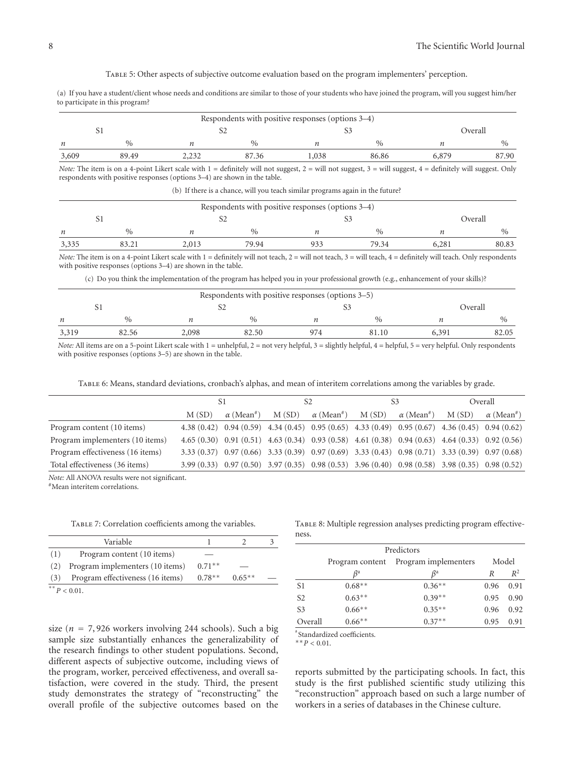#### Table 5: Other aspects of subjective outcome evaluation based on the program implementers' perception.

(a) If you have a student/client whose needs and conditions are similar to those of your students who have joined the program, will you suggest him/her to participate in this program?

|       |               |       |               | Respondents with positive responses (options 3–4) |               |       |               |
|-------|---------------|-------|---------------|---------------------------------------------------|---------------|-------|---------------|
|       | ◡             |       | ◡▵            |                                                   |               |       | Overall       |
|       | $\frac{0}{0}$ |       | $\frac{0}{0}$ |                                                   | $\frac{0}{0}$ |       | $\frac{0}{0}$ |
| 3,609 | 89.49         | 2,232 | 87.36         | 1,038                                             | 86.86         | 6,879 | 87.90         |

*Note:* The item is on a 4-point Likert scale with 1 = definitely will not suggest, 2 = will not suggest, 3 = will suggest, 4 = definitely will suggest. Only respondents with positive responses (options 3–4) are shown in the table.

(b) If there is a chance, will you teach similar programs again in the future?

|                  |               |       | Respondents with positive responses (options 3-4) |     |               |       |               |
|------------------|---------------|-------|---------------------------------------------------|-----|---------------|-------|---------------|
|                  | 71            |       | ◡∠                                                |     | ັບ            |       | Overall       |
| $\boldsymbol{n}$ | $\frac{0}{0}$ |       | $\%$                                              |     | $\frac{0}{0}$ |       | $\frac{0}{0}$ |
| 3,335            | 83.21         | 2,013 | 79.94                                             | 933 | 79.34         | 6,281 | 80.83         |

*Note:* The item is on a 4-point Likert scale with 1 = definitely will not teach, 2 = will not teach, 3 = will teach, 4 = definitely will teach. Only respondents with positive responses (options 3–4) are shown in the table.

(c) Do you think the implementation of the program has helped you in your professional growth (e.g., enhancement of your skills)?

|       |               |       | Respondents with positive responses (options 3–5) |     |       |       |         |
|-------|---------------|-------|---------------------------------------------------|-----|-------|-------|---------|
|       | $\mathcal{L}$ |       |                                                   |     |       |       | Overall |
| n     | $\frac{0}{0}$ |       | $\%$                                              |     | $\%$  |       | $\%$    |
| 3,319 | 82.56         | 2,098 | 82.50                                             | 974 | 81.10 | 6,391 | 82.05   |

*Note:* All items are on a 5-point Likert scale with 1 = unhelpful, 2 = not very helpful, 3 = slightly helpful, 4 = helpful, 5 = very helpful. Only respondents with positive responses (options 3–5) are shown in the table.

| TABLE 6: Means, standard deviations, cronbach's alphas, and mean of interitem correlations among the variables by grade. |  |  |
|--------------------------------------------------------------------------------------------------------------------------|--|--|
|                                                                                                                          |  |  |

|                                  |       | S1                                                                                              | S <sub>2</sub> |                               |       | S3                            |       | Overall                       |
|----------------------------------|-------|-------------------------------------------------------------------------------------------------|----------------|-------------------------------|-------|-------------------------------|-------|-------------------------------|
|                                  | M(SD) | $\alpha$ (Mean <sup>#</sup> )                                                                   | M(SD)          | $\alpha$ (Mean <sup>#</sup> ) | M(SD) | $\alpha$ (Mean <sup>#</sup> ) | M(SD) | $\alpha$ (Mean <sup>#</sup> ) |
| Program content (10 items)       |       | 4.38 (0.42) 0.94 (0.59) 4.34 (0.45) 0.95 (0.65) 4.33 (0.49) 0.95 (0.67) 4.36 (0.45) 0.94 (0.62) |                |                               |       |                               |       |                               |
| Program implementers (10 items)  |       | 4.65 (0.30) 0.91 (0.51) 4.63 (0.34) 0.93 (0.58) 4.61 (0.38) 0.94 (0.63) 4.64 (0.33) 0.92 (0.56) |                |                               |       |                               |       |                               |
| Program effectiveness (16 items) |       | 3.33 (0.37) 0.97 (0.66) 3.33 (0.39) 0.97 (0.69) 3.33 (0.43) 0.98 (0.71) 3.33 (0.39) 0.97 (0.68) |                |                               |       |                               |       |                               |
| Total effectiveness (36 items)   |       | 3.99 (0.33) 0.97 (0.50) 3.97 (0.35) 0.98 (0.53) 3.96 (0.40) 0.98 (0.58) 3.98 (0.35) 0.98 (0.52) |                |                               |       |                               |       |                               |

*Note:* All ANOVA results were not significant.

#Mean interitem correlations.

|     | Variable                         |          |          |  |
|-----|----------------------------------|----------|----------|--|
| (1) | Program content (10 items)       |          |          |  |
| (2) | Program implementers (10 items)  | $0.71**$ |          |  |
| (3) | Program effectiveness (16 items) | $0.78**$ | $0.65**$ |  |
|     | ** $P < 0.01$ .                  |          |          |  |

TABLE 8: Multiple regression analyses predicting program effectiveness.

|                |                | Predictors                           |      |       |
|----------------|----------------|--------------------------------------|------|-------|
|                |                | Program content Program implementers |      | Model |
|                | B <sup>a</sup> | Вª                                   | R    | $R^2$ |
| S <sub>1</sub> | $0.68**$       | $0.36***$                            | 0.96 | 0.91  |
| S <sub>2</sub> | $0.63**$       | $0.39**$                             | 0.95 | 0.90  |
| S <sub>3</sub> | $0.66***$      | $0.35**$                             | 0.96 | 0.92  |
| Overall        | $0.66**$       | $0.37**$                             | 0.95 | 0.91  |

a Standardized coefficients.

 $*$ <sup>\*</sup>*P* < 0.01.

size ( $n = 7,926$  workers involving 244 schools). Such a big sample size substantially enhances the generalizability of the research findings to other student populations. Second, different aspects of subjective outcome, including views of the program, worker, perceived effectiveness, and overall satisfaction, were covered in the study. Third, the present study demonstrates the strategy of "reconstructing" the overall profile of the subjective outcomes based on the

reports submitted by the participating schools. In fact, this study is the first published scientific study utilizing this "reconstruction" approach based on such a large number of workers in a series of databases in the Chinese culture.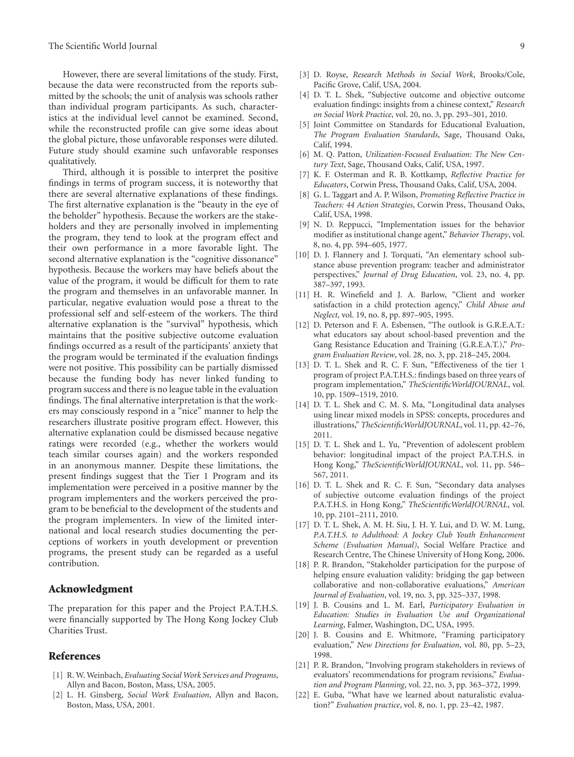However, there are several limitations of the study. First, because the data were reconstructed from the reports submitted by the schools; the unit of analysis was schools rather than individual program participants. As such, characteristics at the individual level cannot be examined. Second, while the reconstructed profile can give some ideas about the global picture, those unfavorable responses were diluted. Future study should examine such unfavorable responses qualitatively.

Third, although it is possible to interpret the positive findings in terms of program success, it is noteworthy that there are several alternative explanations of these findings. The first alternative explanation is the "beauty in the eye of the beholder" hypothesis. Because the workers are the stakeholders and they are personally involved in implementing the program, they tend to look at the program effect and their own performance in a more favorable light. The second alternative explanation is the "cognitive dissonance" hypothesis. Because the workers may have beliefs about the value of the program, it would be difficult for them to rate the program and themselves in an unfavorable manner. In particular, negative evaluation would pose a threat to the professional self and self-esteem of the workers. The third alternative explanation is the "survival" hypothesis, which maintains that the positive subjective outcome evaluation findings occurred as a result of the participants' anxiety that the program would be terminated if the evaluation findings were not positive. This possibility can be partially dismissed because the funding body has never linked funding to program success and there is no league table in the evaluation findings. The final alternative interpretation is that the workers may consciously respond in a "nice" manner to help the researchers illustrate positive program effect. However, this alternative explanation could be dismissed because negative ratings were recorded (e.g., whether the workers would teach similar courses again) and the workers responded in an anonymous manner. Despite these limitations, the present findings suggest that the Tier 1 Program and its implementation were perceived in a positive manner by the program implementers and the workers perceived the program to be beneficial to the development of the students and the program implementers. In view of the limited international and local research studies documenting the perceptions of workers in youth development or prevention programs, the present study can be regarded as a useful contribution.

### **Acknowledgment**

The preparation for this paper and the Project P.A.T.H.S. were financially supported by The Hong Kong Jockey Club Charities Trust.

#### **References**

- [1] R. W. Weinbach, *Evaluating Social Work Services and Programs*, Allyn and Bacon, Boston, Mass, USA, 2005.
- [2] L. H. Ginsberg, *Social Work Evaluation*, Allyn and Bacon, Boston, Mass, USA, 2001.
- [3] D. Royse, *Research Methods in Social Work*, Brooks/Cole, Pacific Grove, Calif, USA, 2004.
- [4] D. T. L. Shek, "Subjective outcome and objective outcome evaluation findings: insights from a chinese context," *Research on Social Work Practice*, vol. 20, no. 3, pp. 293–301, 2010.
- [5] Joint Committee on Standards for Educational Evaluation, *The Program Evaluation Standards*, Sage, Thousand Oaks, Calif, 1994.
- [6] M. Q. Patton, *Utilization-Focused Evaluation: The New Century Text*, Sage, Thousand Oaks, Calif, USA, 1997.
- [7] K. F. Osterman and R. B. Kottkamp, *Reflective Practice for Educators*, Corwin Press, Thousand Oaks, Calif, USA, 2004.
- [8] G. L. Taggart and A. P. Wilson, *Promoting Reflective Practice in Teachers: 44 Action Strategies*, Corwin Press, Thousand Oaks, Calif, USA, 1998.
- [9] N. D. Reppucci, "Implementation issues for the behavior modifier as institutional change agent," *Behavior Therapy*, vol. 8, no. 4, pp. 594–605, 1977.
- [10] D. J. Flannery and J. Torquati, "An elementary school substance abuse prevention program: teacher and administrator perspectives," *Journal of Drug Education*, vol. 23, no. 4, pp. 387–397, 1993.
- [11] H. R. Winefield and J. A. Barlow, "Client and worker satisfaction in a child protection agency," *Child Abuse and Neglect*, vol. 19, no. 8, pp. 897–905, 1995.
- [12] D. Peterson and F. A. Esbensen, "The outlook is G.R.E.A.T.: what educators say about school-based prevention and the Gang Resistance Education and Training (G.R.E.A.T.)," *Program Evaluation Review*, vol. 28, no. 3, pp. 218–245, 2004.
- [13] D. T. L. Shek and R. C. F. Sun, "Effectiveness of the tier 1 program of project P.A.T.H.S.: findings based on three years of program implementation," *TheScientificWorldJOURNAL*, vol. 10, pp. 1509–1519, 2010.
- [14] D. T. L. Shek and C. M. S. Ma, "Longitudinal data analyses using linear mixed models in SPSS: concepts, procedures and illustrations," *TheScientificWorldJOURNAL*, vol. 11, pp. 42–76, 2011.
- [15] D. T. L. Shek and L. Yu, "Prevention of adolescent problem behavior: longitudinal impact of the project P.A.T.H.S. in Hong Kong," *TheScientificWorldJOURNAL*, vol. 11, pp. 546– 567, 2011.
- [16] D. T. L. Shek and R. C. F. Sun, "Secondary data analyses of subjective outcome evaluation findings of the project P.A.T.H.S. in Hong Kong," *TheScientificWorldJOURNAL*, vol. 10, pp. 2101–2111, 2010.
- [17] D. T. L. Shek, A. M. H. Siu, J. H. Y. Lui, and D. W. M. Lung, *P.A.T.H.S. to Adulthood: A Jockey Club Youth Enhancement Scheme (Evaluation Manual)*, Social Welfare Practice and Research Centre, The Chinese University of Hong Kong, 2006.
- [18] P. R. Brandon, "Stakeholder participation for the purpose of helping ensure evaluation validity: bridging the gap between collaborative and non-collaborative evaluations," *American Journal of Evaluation*, vol. 19, no. 3, pp. 325–337, 1998.
- [19] J. B. Cousins and L. M. Earl, *Participatory Evaluation in Education: Studies in Evaluation Use and Organizational Learning*, Falmer, Washington, DC, USA, 1995.
- [20] J. B. Cousins and E. Whitmore, "Framing participatory evaluation," *New Directions for Evaluation*, vol. 80, pp. 5–23, 1998.
- [21] P. R. Brandon, "Involving program stakeholders in reviews of evaluators' recommendations for program revisions," *Evaluation and Program Planning*, vol. 22, no. 3, pp. 363–372, 1999.
- [22] E. Guba, "What have we learned about naturalistic evaluation?" *Evaluation practice*, vol. 8, no. 1, pp. 23–42, 1987.